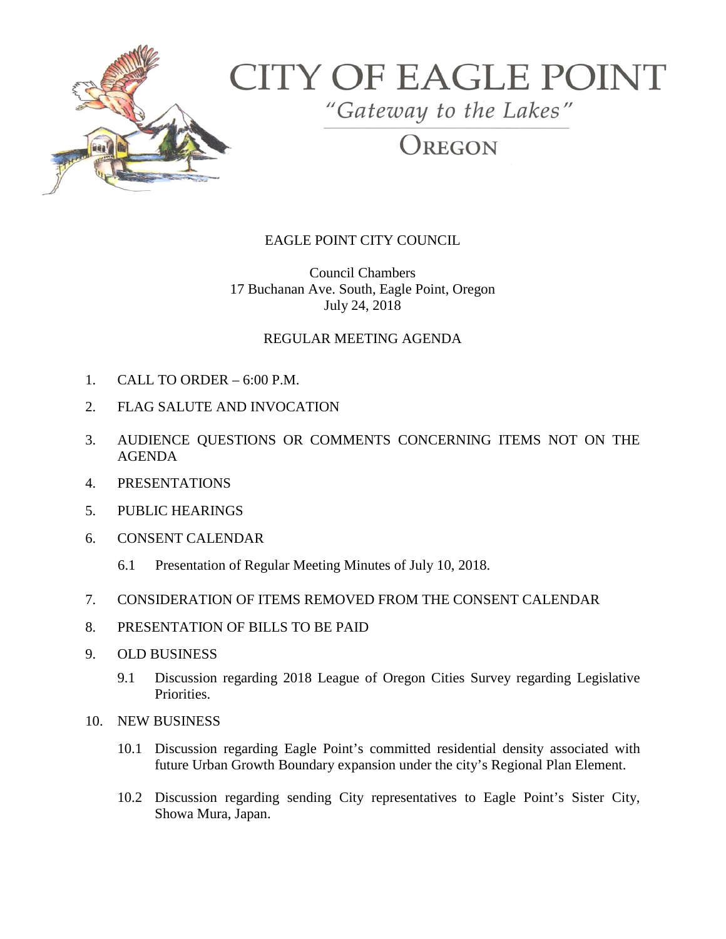

# **CITY OF EAGLE POINT**

"Gateway to the Lakes"

REGON

## EAGLE POINT CITY COUNCIL

Council Chambers 17 Buchanan Ave. South, Eagle Point, Oregon July 24, 2018

### REGULAR MEETING AGENDA

- 1. CALL TO ORDER 6:00 P.M.
- 2. FLAG SALUTE AND INVOCATION
- 3. AUDIENCE QUESTIONS OR COMMENTS CONCERNING ITEMS NOT ON THE AGENDA
- 4. PRESENTATIONS
- 5. PUBLIC HEARINGS
- 6. CONSENT CALENDAR
	- 6.1 Presentation of Regular Meeting Minutes of July 10, 2018.
- 7. CONSIDERATION OF ITEMS REMOVED FROM THE CONSENT CALENDAR
- 8. PRESENTATION OF BILLS TO BE PAID
- 9. OLD BUSINESS
	- 9.1 Discussion regarding 2018 League of Oregon Cities Survey regarding Legislative Priorities.
- 10. NEW BUSINESS
	- 10.1 Discussion regarding Eagle Point's committed residential density associated with future Urban Growth Boundary expansion under the city's Regional Plan Element.
	- 10.2 Discussion regarding sending City representatives to Eagle Point's Sister City, Showa Mura, Japan.